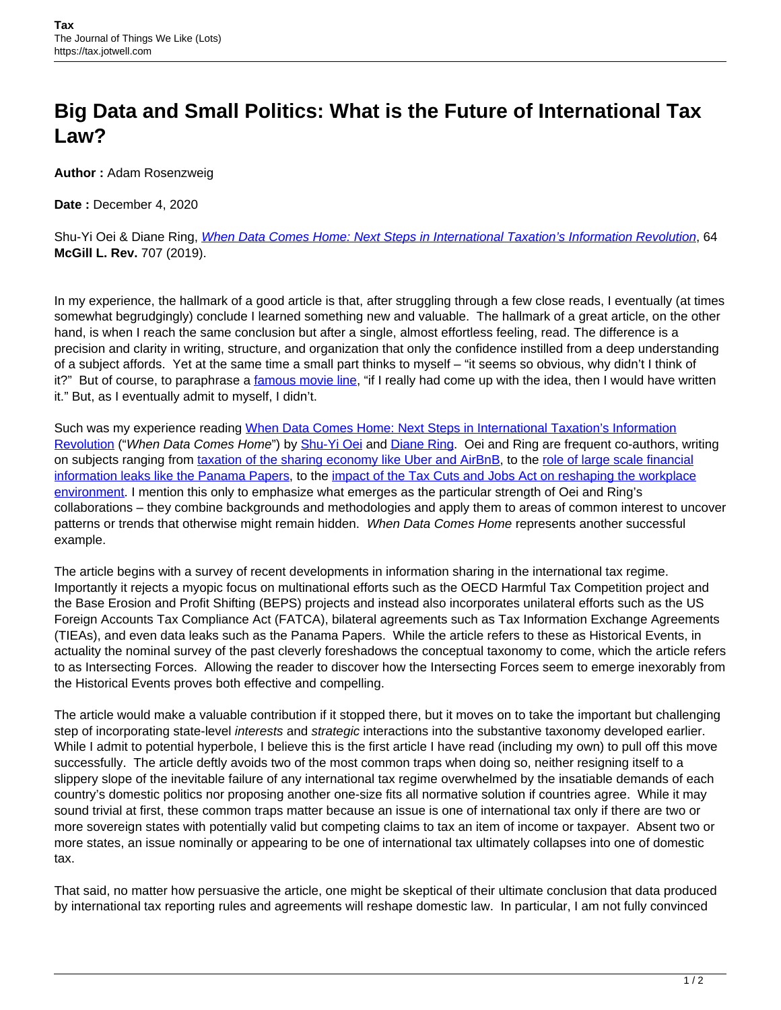## **Big Data and Small Politics: What is the Future of International Tax Law?**

**Author :** Adam Rosenzweig

**Date :** December 4, 2020

Shu-Yi Oei & Diane Ring, *[When Data Comes Home: Next Steps in International Taxation's Information Revolution](https://lawjournal.mcgill.ca/article/when-data-comes-home-next-steps-in-international-taxations-information-revolution/)*. 64 **McGill L. Rev.** 707 (2019).

In my experience, the hallmark of a good article is that, after struggling through a few close reads, I eventually (at times somewhat begrudgingly) conclude I learned something new and valuable. The hallmark of a great article, on the other hand, is when I reach the same conclusion but after a single, almost effortless feeling, read. The difference is a precision and clarity in writing, structure, and organization that only the confidence instilled from a deep understanding of a subject affords. Yet at the same time a small part thinks to myself – "it seems so obvious, why didn't I think of it?" But of course, to paraphrase a [famous movie line,](https://www.moviefanatic.com/quotes/if-you-guys-were-the-inventors-of-facebook-youd-have-invented/) "if I really had come up with the idea, then I would have written it." But, as I eventually admit to myself, I didn't.

Such was my experience reading [When Data Comes Home: Next Steps in International Taxation's Information](https://papers.ssrn.com/sol3/papers.cfm?abstract_id=3671133) [Revolution](https://papers.ssrn.com/sol3/papers.cfm?abstract_id=3671133) ("When Data Comes Home") by [Shu-Yi Oei](https://www.bc.edu/bc-web/schools/law/academics-faculty/faculty-directory/shu-yi-oei.html) and [Diane Ring.](https://www.bc.edu/bc-web/schools/law/academics-faculty/faculty-directory/diane-ring.html) Oei and Ring are frequent co-authors, writing on subjects ranging from [taxation of the sharing economy like Uber and AirBnB](https://papers.ssrn.com/sol3/papers.cfm?abstract_id=2570584), to the [role of large scale financial](https://papers.ssrn.com/sol3/papers.cfm?abstract_id=2918550) [information leaks like the Panama Papers](https://papers.ssrn.com/sol3/papers.cfm?abstract_id=2918550), to the [impact of the Tax Cuts and Jobs Act on reshaping the workplace](https://papers.ssrn.com/sol3/papers.cfm?abstract_id=3101180) [environment.](https://papers.ssrn.com/sol3/papers.cfm?abstract_id=3101180) I mention this only to emphasize what emerges as the particular strength of Oei and Ring's collaborations – they combine backgrounds and methodologies and apply them to areas of common interest to uncover patterns or trends that otherwise might remain hidden. When Data Comes Home represents another successful example.

The article begins with a survey of recent developments in information sharing in the international tax regime. Importantly it rejects a myopic focus on multinational efforts such as the OECD Harmful Tax Competition project and the Base Erosion and Profit Shifting (BEPS) projects and instead also incorporates unilateral efforts such as the US Foreign Accounts Tax Compliance Act (FATCA), bilateral agreements such as Tax Information Exchange Agreements (TIEAs), and even data leaks such as the Panama Papers. While the article refers to these as Historical Events, in actuality the nominal survey of the past cleverly foreshadows the conceptual taxonomy to come, which the article refers to as Intersecting Forces. Allowing the reader to discover how the Intersecting Forces seem to emerge inexorably from the Historical Events proves both effective and compelling.

The article would make a valuable contribution if it stopped there, but it moves on to take the important but challenging step of incorporating state-level interests and strategic interactions into the substantive taxonomy developed earlier. While I admit to potential hyperbole, I believe this is the first article I have read (including my own) to pull off this move successfully. The article deftly avoids two of the most common traps when doing so, neither resigning itself to a slippery slope of the inevitable failure of any international tax regime overwhelmed by the insatiable demands of each country's domestic politics nor proposing another one-size fits all normative solution if countries agree. While it may sound trivial at first, these common traps matter because an issue is one of international tax only if there are two or more sovereign states with potentially valid but competing claims to tax an item of income or taxpayer. Absent two or more states, an issue nominally or appearing to be one of international tax ultimately collapses into one of domestic tax.

That said, no matter how persuasive the article, one might be skeptical of their ultimate conclusion that data produced by international tax reporting rules and agreements will reshape domestic law. In particular, I am not fully convinced